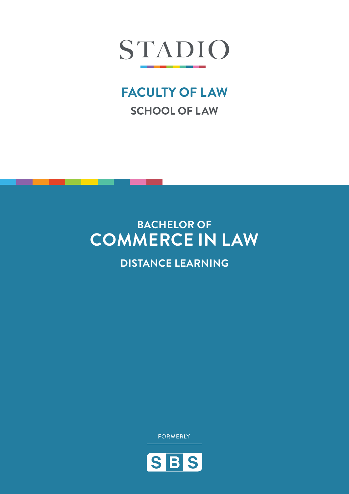

# **FACULTY OF LAW SCHOOL OF LAW**

# **BACHELOR OF COMMERCE IN LAW**

**DISTANCE LEARNING**

**FORMERLY** 

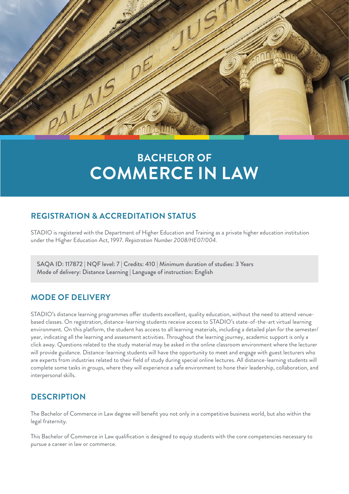

# **BACHELOR OF COMMERCE IN LAW**

## **REGISTRATION & ACCREDITATION STATUS**

STADIO is registered with the Department of Higher Education and Training as a private higher education institution under the Higher Education Act, 1997. *Registration Number 2008/HE07/004.*

SAQA ID: 117872 | NQF level: 7 | Credits: 410 | Minimum duration of studies: 3 Years Mode of delivery: Distance Learning | Language of instruction: English

## **MODE OF DELIVERY**

STADIO's distance learning programmes offer students excellent, quality education, without the need to attend venuebased classes. On registration, distance-learning students receive access to STADIO's state-of-the-art virtual learning environment. On this platform, the student has access to all learning materials, including a detailed plan for the semester/ year, indicating all the learning and assessment activities. Throughout the learning journey, academic support is only a click away. Questions related to the study material may be asked in the online classroom environment where the lecturer will provide guidance. Distance-learning students will have the opportunity to meet and engage with guest lecturers who are experts from industries related to their field of study during special online lectures. All distance-learning students will complete some tasks in groups, where they will experience a safe environment to hone their leadership, collaboration, and interpersonal skills.

## **DESCRIPTION**

The Bachelor of Commerce in Law degree will benefit you not only in a competitive business world, but also within the legal fraternity.

This Bachelor of Commerce in Law qualification is designed to equip students with the core competencies necessary to pursue a career in law or commerce.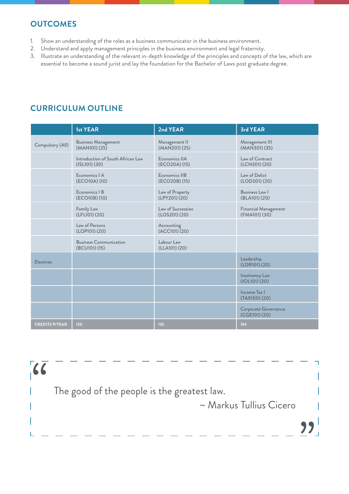## **OUTCOMES**

- 1. Show an understanding of the roles as a business communicator in the business environment.
- 2. Understand and apply management principles in the business environment and legal fraternity.
- 3. Illustrate an understanding of the relevant in-depth knowledge of the principles and concepts of the law, which are essential to become a sound jurist and lay the foundation for the Bachelor of Laws post graduate degree.

|                       | <b>1st YEAR</b>                                        | 2nd YEAR                           | 3rd YEAR                                     |
|-----------------------|--------------------------------------------------------|------------------------------------|----------------------------------------------|
| Compulsory (All)      | <b>Business Management</b><br>(MAN101) (25)            | Management II<br>(MAN201) (25)     | Management III<br>(MAN301) (35)              |
|                       | Introduction of South African Law<br>$(ISL101)$ $(30)$ | Economics IIA<br>(ECO20A) (15)     | Law of Contract<br>(LCN301) (20)             |
|                       | Economics   A<br>(ECO10A) (10)                         | Economics IIB<br>(ECO20B) (15)     | Law of Delict<br>(LOD301) (20)               |
|                       | Economics   B<br>(ECO10B) (10)                         | Law of Property<br>(LPY201) (20)   | Business Law I<br>(BLA101) (20)              |
|                       | Family Law<br>(LFL101) (20)                            | Law of Succession<br>(LOS201) (20) | <b>Financial Management</b><br>(FMA101) (30) |
|                       | Law of Persons<br>(LOP101) (20)                        | Accounting<br>(ACC101) (20)        |                                              |
|                       | <b>Business Communication</b><br>(BCU101) (15)         | Labour Law<br>(LLA101) (20)        |                                              |
| <b>Electives</b>      |                                                        |                                    | Leadership<br>(LDR101) (20)                  |
|                       |                                                        |                                    | Insolvency Law<br>(IOL101) (20)              |
|                       |                                                        |                                    | <b>Income Tax I</b><br>(TAX100)(20)          |
|                       |                                                        |                                    | <b>Corporate Governance</b><br>(CGE101) (20) |
| <b>CREDITS P/YEAR</b> | 130                                                    | 135                                | 154                                          |

# **CURRICULUM OUTLINE**

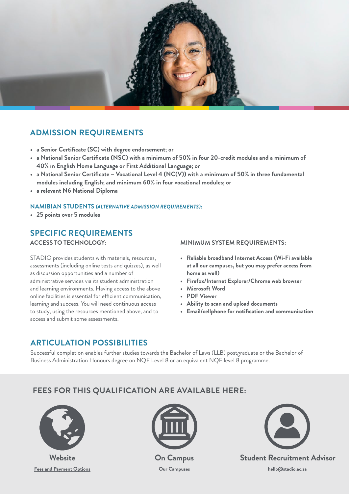

# **ADMISSION REQUIREMENTS**

- **• a Senior Certificate (SC) with degree endorsement; or**
- **• a National Senior Certificate (NSC) with a minimum of 50% in four 20-credit modules and a minimum of 40% in English Home Language or First Additional Language; or**
- **• a National Senior Certificate Vocational Level 4 (NC(V)) with a minimum of 50% in three fundamental modules including English; and minimum 60% in four vocational modules; or**
- **• a relevant N6 National Diploma**

#### **NAMIBIAN STUDENTS** *(ALTERNATIVE ADMISSION REQUIREMENTS)***:**

**• 25 points over 5 modules**

# **SPECIFIC REQUIREMENTS**

**ACCESS TO TECHNOLOGY:** 

STADIO provides students with materials, resources, assessments (including online tests and quizzes), as well as discussion opportunities and a number of administrative services via its student administration and learning environments. Having access to the above online facilities is essential for efficient communication, learning and success. You will need continuous access to study, using the resources mentioned above, and to access and submit some assessments.

**MINIMUM SYSTEM REQUIREMENTS:**

- **• Reliable broadband Internet Access (Wi-Fi available at all our campuses, but you may prefer access from home as well)**
- **• Firefox/Internet Explorer/Chrome web browser**
- **• Microsoft Word**
- **• PDF Viewer**
- **• Ability to scan and upload documents**
- **• Email/cellphone for notification and communication**

## **ARTICULATION POSSIBILITIES**

Successful completion enables further studies towards the Bachelor of Laws (LLB) postgraduate or the Bachelor of Business Administration Honours degree on NQF Level 8 or an equivalent NQF level 8 programme.

## **FEES FOR THIS QUALIFICATION ARE AVAILABLE HERE:**



**[Fees and Payment Options](https://www.stadio.ac.za/fees-and-payment-options)**



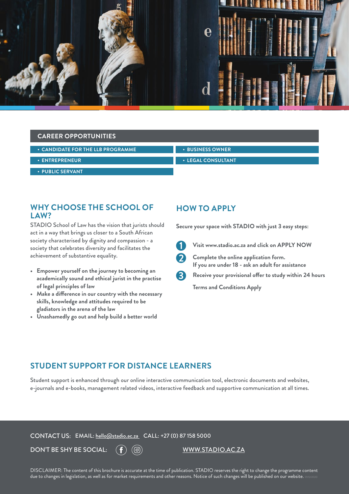

#### **CAREER OPPORTUNITIES**

| $\cdot$ CANDIDATE FOR THE LLB PROGRAMME | $\cdot$ BUSINESS OWNER   |
|-----------------------------------------|--------------------------|
|                                         |                          |
| $\cdot$ ENTREPRENEUR $^{\dagger}$       | $\cdot$ LEGAL CONSULTANT |
|                                         |                          |
| • PUBLIC SERVANT                        |                          |

### **WHY CHOOSE THE SCHOOL OF LAW?**

STADIO School of Law has the vision that jurists should act in a way that brings us closer to a South African society characterised by dignity and compassion - a society that celebrates diversity and facilitates the achievement of substantive equality.

- **Empower yourself on the journey to becoming an academically sound and ethical jurist in the practise of legal principles of law**
- **• Make a difference in our country with the necessary skills, knowledge and attitudes required to be gladiators in the arena of the law**
- **• Unashamedly go out and help build a better world**

### **HOW TO APPLY**

**Secure your space with STADIO with just 3 easy steps:**



**Visit www.stadio.ac.za and click on APPLY NOW**



**Complete the online application form. If you are under 18 - ask an adult for assistance**

**Receive your provisional offer to study within 24 hours**



**Terms and Conditions Apply**

### **STUDENT SUPPORT FOR DISTANCE LEARNERS**

Student support is enhanced through our online interactive communication tool, electronic documents and websites, e-journals and e-books, management related videos, interactive feedback and supportive communication at all times.

CONTACT US: EMAIL: [hello@stadio.ac.za](mailto:hello@stadio.ac.za) CALL: +27 (0) 87 158 5000

DON'T BE SHY BE SOCIAL:  $(f)(\textcircled{\circ})$  www.stadio.ac.za

DISCLAIMER: The content of this brochure is accurate at the time of publication. STADIO reserves the right to change the programme content due to changes in legislation, as well as for market requirements and other reasons. Notice of such changes will be published on our website.